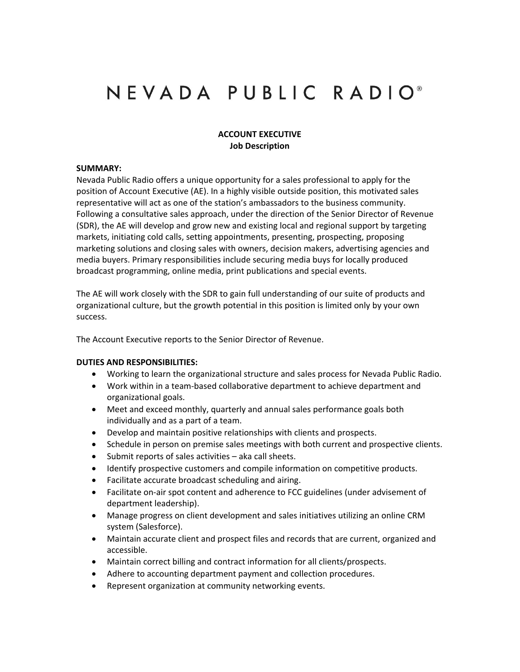# NEVADA PUBLIC RADIO<sup>®</sup>

#### **ACCOUNT EXECUTIVE Job Description**

#### **SUMMARY:**

Nevada Public Radio offers a unique opportunity for a sales professional to apply for the position of Account Executive (AE). In a highly visible outside position, this motivated sales representative will act as one of the station's ambassadors to the business community. Following a consultative sales approach, under the direction of the Senior Director of Revenue (SDR), the AE will develop and grow new and existing local and regional support by targeting markets, initiating cold calls, setting appointments, presenting, prospecting, proposing marketing solutions and closing sales with owners, decision makers, advertising agencies and media buyers. Primary responsibilities include securing media buys for locally produced broadcast programming, online media, print publications and special events.

The AE will work closely with the SDR to gain full understanding of our suite of products and organizational culture, but the growth potential in this position is limited only by your own success.

The Account Executive reports to the Senior Director of Revenue.

#### **DUTIES AND RESPONSIBILITIES:**

- Working to learn the organizational structure and sales process for Nevada Public Radio.
- Work within in a team-based collaborative department to achieve department and organizational goals.
- Meet and exceed monthly, quarterly and annual sales performance goals both individually and as a part of a team.
- Develop and maintain positive relationships with clients and prospects.
- Schedule in person on premise sales meetings with both current and prospective clients.
- Submit reports of sales activities aka call sheets.
- Identify prospective customers and compile information on competitive products.
- Facilitate accurate broadcast scheduling and airing.
- Facilitate on-air spot content and adherence to FCC guidelines (under advisement of department leadership).
- Manage progress on client development and sales initiatives utilizing an online CRM system (Salesforce).
- Maintain accurate client and prospect files and records that are current, organized and accessible.
- Maintain correct billing and contract information for all clients/prospects.
- Adhere to accounting department payment and collection procedures.
- Represent organization at community networking events.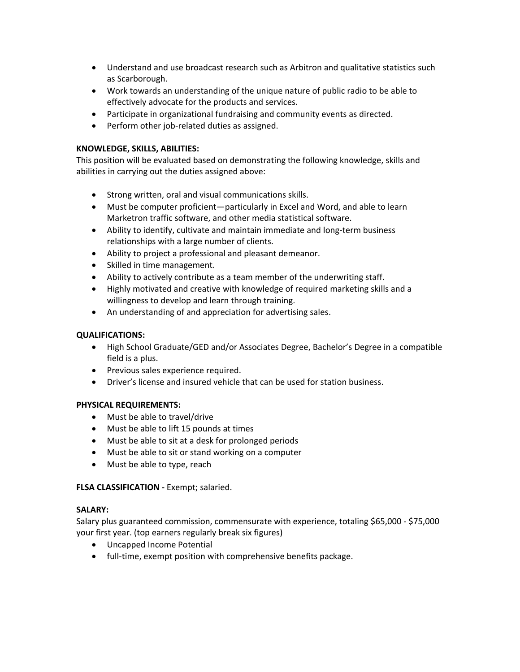- Understand and use broadcast research such as Arbitron and qualitative statistics such as Scarborough.
- Work towards an understanding of the unique nature of public radio to be able to effectively advocate for the products and services.
- Participate in organizational fundraising and community events as directed.
- Perform other job-related duties as assigned.

# **KNOWLEDGE, SKILLS, ABILITIES:**

This position will be evaluated based on demonstrating the following knowledge, skills and abilities in carrying out the duties assigned above:

- Strong written, oral and visual communications skills.
- Must be computer proficient—particularly in Excel and Word, and able to learn Marketron traffic software, and other media statistical software.
- Ability to identify, cultivate and maintain immediate and long-term business relationships with a large number of clients.
- Ability to project a professional and pleasant demeanor.
- Skilled in time management.
- Ability to actively contribute as a team member of the underwriting staff.
- Highly motivated and creative with knowledge of required marketing skills and a willingness to develop and learn through training.
- An understanding of and appreciation for advertising sales.

## **QUALIFICATIONS:**

- High School Graduate/GED and/or Associates Degree, Bachelor's Degree in a compatible field is a plus.
- Previous sales experience required.
- Driver's license and insured vehicle that can be used for station business.

## **PHYSICAL REQUIREMENTS:**

- Must be able to travel/drive
- Must be able to lift 15 pounds at times
- Must be able to sit at a desk for prolonged periods
- Must be able to sit or stand working on a computer
- Must be able to type, reach

## **FLSA CLASSIFICATION -** Exempt; salaried.

## **SALARY:**

Salary plus guaranteed commission, commensurate with experience, totaling \$65,000 - \$75,000 your first year. (top earners regularly break six figures)

- Uncapped Income Potential
- full-time, exempt position with comprehensive benefits package.